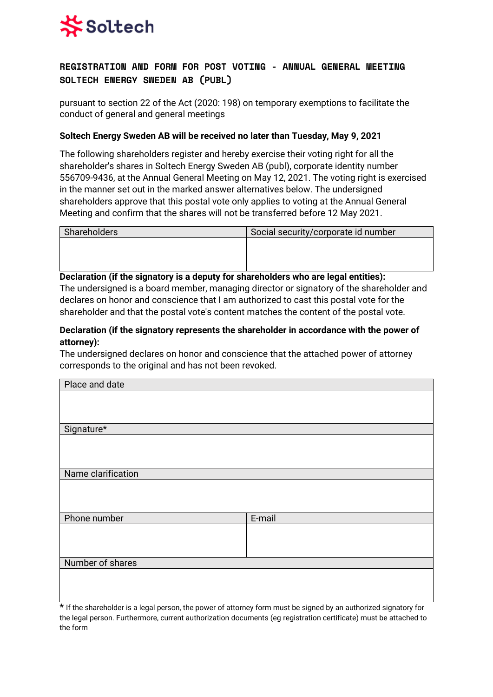

# **REGISTRATION AND FORM FOR POST VOTING - ANNUAL GENERAL MEETING SOLTECH ENERGY SWEDEN AB (PUBL)**

pursuant to section 22 of the Act (2020: 198) on temporary exemptions to facilitate the conduct of general and general meetings

### **Soltech Energy Sweden AB will be received no later than Tuesday, May 9, 2021**

The following shareholders register and hereby exercise their voting right for all the shareholder's shares in Soltech Energy Sweden AB (publ), corporate identity number 556709-9436, at the Annual General Meeting on May 12, 2021. The voting right is exercised in the manner set out in the marked answer alternatives below. The undersigned shareholders approve that this postal vote only applies to voting at the Annual General Meeting and confirm that the shares will not be transferred before 12 May 2021.

| Shareholders | Social security/corporate id number |
|--------------|-------------------------------------|
|              |                                     |
|              |                                     |
|              |                                     |

#### **Declaration (if the signatory is a deputy for shareholders who are legal entities):**

The undersigned is a board member, managing director or signatory of the shareholder and declares on honor and conscience that I am authorized to cast this postal vote for the shareholder and that the postal vote's content matches the content of the postal vote.

### **Declaration (if the signatory represents the shareholder in accordance with the power of attorney):**

The undersigned declares on honor and conscience that the attached power of attorney corresponds to the original and has not been revoked.

| Place and date     |        |
|--------------------|--------|
|                    |        |
|                    |        |
|                    |        |
| Signature*         |        |
|                    |        |
|                    |        |
|                    |        |
| Name clarification |        |
|                    |        |
|                    |        |
|                    |        |
| Phone number       | E-mail |
|                    |        |
|                    |        |
|                    |        |
| Number of shares   |        |
|                    |        |
|                    |        |
|                    |        |

**\*** If the shareholder is a legal person, the power of attorney form must be signed by an authorized signatory for the legal person. Furthermore, current authorization documents (eg registration certificate) must be attached to the form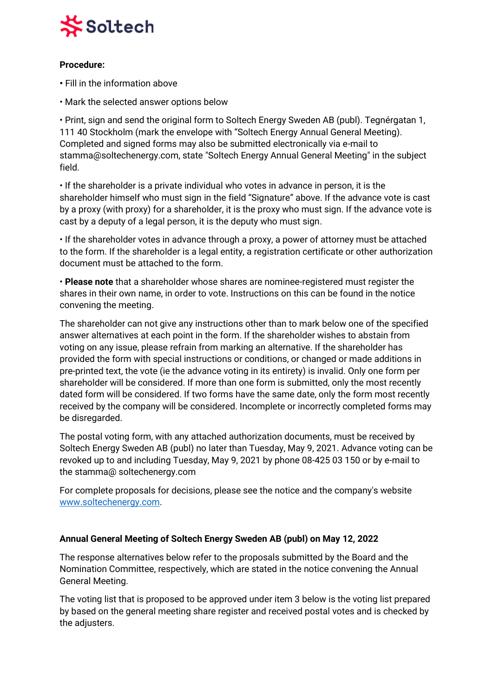

## **Procedure:**

- Fill in the information above
- Mark the selected answer options below

• Print, sign and send the original form to Soltech Energy Sweden AB (publ). Tegnérgatan 1, 111 40 Stockholm (mark the envelope with "Soltech Energy Annual General Meeting). Completed and signed forms may also be submitted electronically via e-mail to stamma@soltechenergy.com, state "Soltech Energy Annual General Meeting" in the subject field.

• If the shareholder is a private individual who votes in advance in person, it is the shareholder himself who must sign in the field "Signature" above. If the advance vote is cast by a proxy (with proxy) for a shareholder, it is the proxy who must sign. If the advance vote is cast by a deputy of a legal person, it is the deputy who must sign.

• If the shareholder votes in advance through a proxy, a power of attorney must be attached to the form. If the shareholder is a legal entity, a registration certificate or other authorization document must be attached to the form.

• **Please note** that a shareholder whose shares are nominee-registered must register the shares in their own name, in order to vote. Instructions on this can be found in the notice convening the meeting.

The shareholder can not give any instructions other than to mark below one of the specified answer alternatives at each point in the form. If the shareholder wishes to abstain from voting on any issue, please refrain from marking an alternative. If the shareholder has provided the form with special instructions or conditions, or changed or made additions in pre-printed text, the vote (ie the advance voting in its entirety) is invalid. Only one form per shareholder will be considered. If more than one form is submitted, only the most recently dated form will be considered. If two forms have the same date, only the form most recently received by the company will be considered. Incomplete or incorrectly completed forms may be disregarded.

The postal voting form, with any attached authorization documents, must be received by Soltech Energy Sweden AB (publ) no later than Tuesday, May 9, 2021. Advance voting can be revoked up to and including Tuesday, May 9, 2021 by phone 08-425 03 150 or by e-mail to the stamma@ soltechenergy.com

For complete proposals for decisions, please see the notice and the company's website [www.soltechenergy.com.](http://www.soltechenergy.com/)

### **Annual General Meeting of Soltech Energy Sweden AB (publ) on May 12, 2022**

The response alternatives below refer to the proposals submitted by the Board and the Nomination Committee, respectively, which are stated in the notice convening the Annual General Meeting.

The voting list that is proposed to be approved under item 3 below is the voting list prepared by based on the general meeting share register and received postal votes and is checked by the adjusters.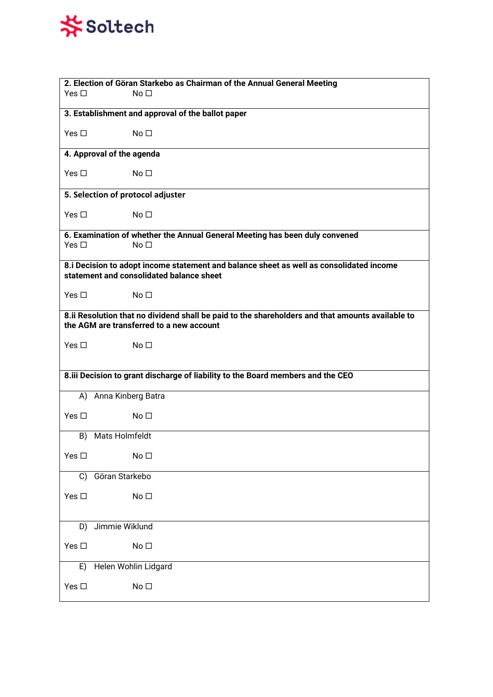# **茶Soltech**

| 2. Election of Göran Starkebo as Chairman of the Annual General Meeting<br>Yes $\square$<br>No <sub>1</sub>                                  |  |  |
|----------------------------------------------------------------------------------------------------------------------------------------------|--|--|
| 3. Establishment and approval of the ballot paper                                                                                            |  |  |
| Yes $\square$<br>No <sub>1</sub>                                                                                                             |  |  |
| 4. Approval of the agenda                                                                                                                    |  |  |
| No <sub>1</sub><br>Yes $\square$                                                                                                             |  |  |
| 5. Selection of protocol adjuster                                                                                                            |  |  |
| No <sub>1</sub><br>Yes $\square$                                                                                                             |  |  |
| 6. Examination of whether the Annual General Meeting has been duly convened                                                                  |  |  |
| Yes $\square$<br>No <sub>1</sub>                                                                                                             |  |  |
| 8.i Decision to adopt income statement and balance sheet as well as consolidated income<br>statement and consolidated balance sheet          |  |  |
| Yes $\square$<br>No <sub>1</sub>                                                                                                             |  |  |
| 8.ii Resolution that no dividend shall be paid to the shareholders and that amounts available to<br>the AGM are transferred to a new account |  |  |
| No <sub>1</sub><br>Yes $\square$                                                                                                             |  |  |
| 8.iii Decision to grant discharge of liability to the Board members and the CEO                                                              |  |  |
| A) Anna Kinberg Batra                                                                                                                        |  |  |
| No <sub>1</sub><br>Yes $\square$                                                                                                             |  |  |
| B) Mats Holmfeldt                                                                                                                            |  |  |
| Yes $\square$<br>No <sub>1</sub>                                                                                                             |  |  |
| Göran Starkebo<br>C)                                                                                                                         |  |  |
| Yes $\square$<br>No <sub>1</sub>                                                                                                             |  |  |
| Jimmie Wiklund<br>D)                                                                                                                         |  |  |
|                                                                                                                                              |  |  |
| Yes $\square$<br>No <sub>1</sub>                                                                                                             |  |  |
| Helen Wohlin Lidgard<br>E)                                                                                                                   |  |  |
| Yes $\square$<br>No <sub>1</sub>                                                                                                             |  |  |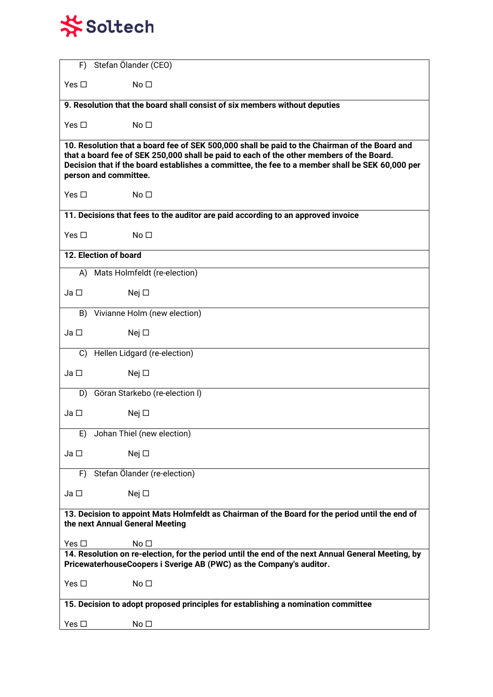# **茶Soltech**

| F)                                                                                                                                                                                                                                                                                                                    | Stefan Ölander (CEO)                                                       |  |
|-----------------------------------------------------------------------------------------------------------------------------------------------------------------------------------------------------------------------------------------------------------------------------------------------------------------------|----------------------------------------------------------------------------|--|
| Yes $\square$                                                                                                                                                                                                                                                                                                         | No <sub>1</sub>                                                            |  |
|                                                                                                                                                                                                                                                                                                                       | 9. Resolution that the board shall consist of six members without deputies |  |
| Yes $\square$                                                                                                                                                                                                                                                                                                         | No <sub>1</sub>                                                            |  |
| 10. Resolution that a board fee of SEK 500,000 shall be paid to the Chairman of the Board and<br>that a board fee of SEK 250,000 shall be paid to each of the other members of the Board.<br>Decision that if the board establishes a committee, the fee to a member shall be SEK 60,000 per<br>person and committee. |                                                                            |  |
| Yes $\square$                                                                                                                                                                                                                                                                                                         | No <sub>1</sub>                                                            |  |
| 11. Decisions that fees to the auditor are paid according to an approved invoice                                                                                                                                                                                                                                      |                                                                            |  |
| Yes $\square$                                                                                                                                                                                                                                                                                                         | No <sub>1</sub>                                                            |  |
|                                                                                                                                                                                                                                                                                                                       | 12. Election of board                                                      |  |
|                                                                                                                                                                                                                                                                                                                       | A) Mats Holmfeldt (re-election)                                            |  |
| Ja <sub>□</sub>                                                                                                                                                                                                                                                                                                       | Nej $\square$                                                              |  |
| B)                                                                                                                                                                                                                                                                                                                    | Vivianne Holm (new election)                                               |  |
| $Ja$ $\square$                                                                                                                                                                                                                                                                                                        | Nej $\square$                                                              |  |
| C)                                                                                                                                                                                                                                                                                                                    | Hellen Lidgard (re-election)                                               |  |
| Ja                                                                                                                                                                                                                                                                                                                    | Nej $\square$                                                              |  |
| D)                                                                                                                                                                                                                                                                                                                    | Göran Starkebo (re-election I)                                             |  |
| Ja <sub>□</sub>                                                                                                                                                                                                                                                                                                       | Nej $\square$                                                              |  |
| E)                                                                                                                                                                                                                                                                                                                    | Johan Thiel (new election)                                                 |  |
| Ja □                                                                                                                                                                                                                                                                                                                  | Nej $\square$                                                              |  |
| F)                                                                                                                                                                                                                                                                                                                    | Stefan Ölander (re-election)                                               |  |
| Ja □                                                                                                                                                                                                                                                                                                                  | Nej $\square$                                                              |  |
| 13. Decision to appoint Mats Holmfeldt as Chairman of the Board for the period until the end of<br>the next Annual General Meeting                                                                                                                                                                                    |                                                                            |  |
| Yes $\square$                                                                                                                                                                                                                                                                                                         | No <sub>1</sub>                                                            |  |
| 14. Resolution on re-election, for the period until the end of the next Annual General Meeting, by<br>PricewaterhouseCoopers i Sverige AB (PWC) as the Company's auditor.                                                                                                                                             |                                                                            |  |
| Yes $\square$                                                                                                                                                                                                                                                                                                         | No <sub>1</sub>                                                            |  |
| 15. Decision to adopt proposed principles for establishing a nomination committee                                                                                                                                                                                                                                     |                                                                            |  |
| Yes $\square$                                                                                                                                                                                                                                                                                                         | No <sub>1</sub>                                                            |  |